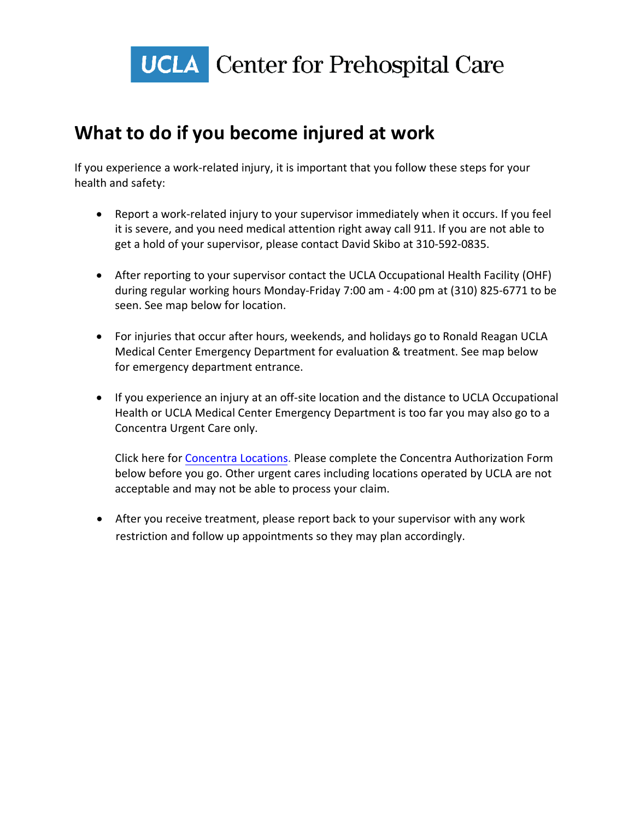

## **What to do if you become injured at work**

If you experience a work-related injury, it is important that you follow these steps for your health and safety:

- Report a work-related injury to your supervisor immediately when it occurs. If you feel it is severe, and you need medical attention right away call 911. If you are not able to get a hold of your supervisor, please contact David Skibo at 310-592-0835.
- After reporting to your supervisor contact the UCLA Occupational Health Facility (OHF) during regular working hours Monday-Friday 7:00 am - 4:00 pm at (310) 825-6771 to be seen. See map below for location.
- For injuries that occur after hours, weekends, and holidays go to Ronald Reagan UCLA Medical Center Emergency Department for evaluation & treatment. See map below for emergency department entrance.
- If you experience an injury at an off-site location and the distance to UCLA Occupational Health or UCLA Medical Center Emergency Department is too far you may also go to a Concentra Urgent Care only.

Click here for [Concentra Locations.](https://www.concentra.com/urgent-care-centers/#g=34.0522342|-118.2436849&o=DistanceMi%2CAscending&a=Los%20Angeles%2C%20CA%2C%20USA&glevel=1&p=1000&z=10&locationcategorytype=Occupational%20Health%20Services) Please complete the Concentra Authorization Form below before you go. Other urgent cares including locations operated by UCLA are not acceptable and may not be able to process your claim.

• After you receive treatment, please report back to your supervisor with any work restriction and follow up appointments so they may plan accordingly.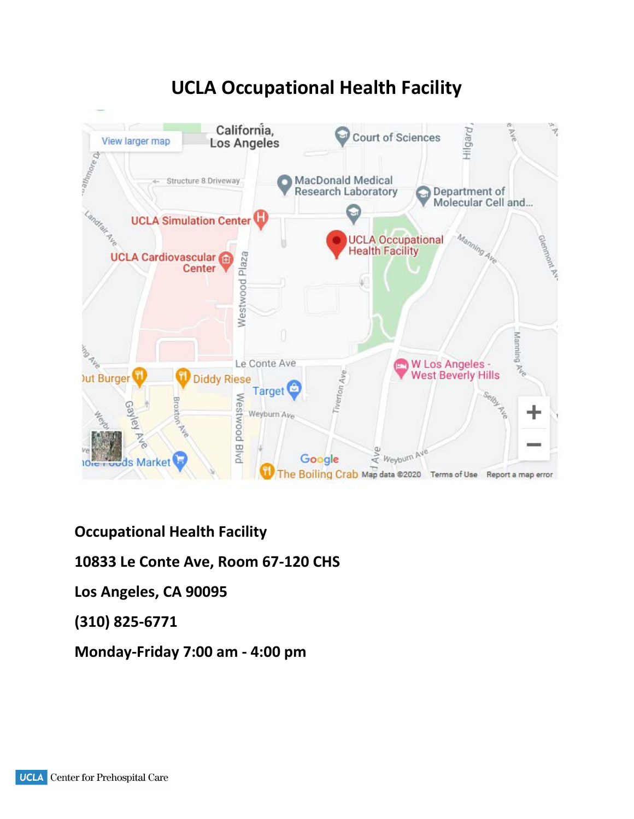

## **UCLA Occupational Health Facility**

**Occupational Health Facility** 

**10833 Le Conte Ave, Room 67-120 CHS**

**Los Angeles, CA 90095**

**(310) 825-6771**

**Monday-Friday 7:00 am - 4:00 pm**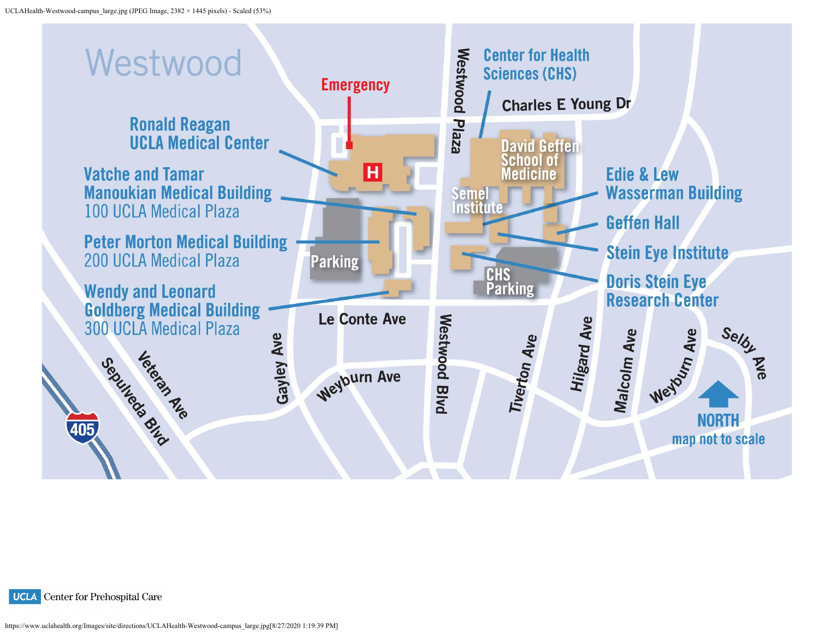